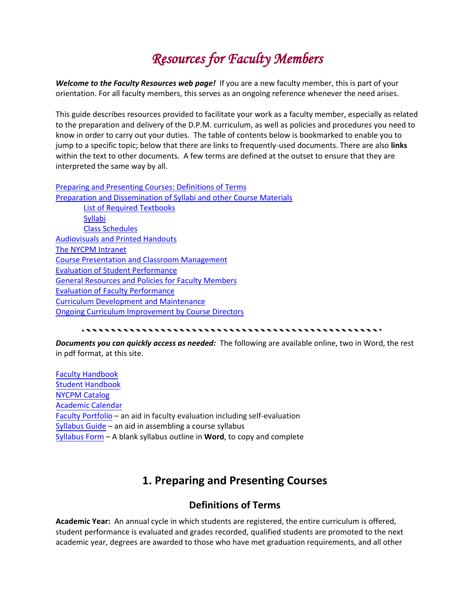# *Resources for Faculty Members*

*Welcome to the Faculty Resources web page!* If you are a new faculty member, this is part of your orientation. For all faculty members, this serves as an ongoing reference whenever the need arises.

This guide describes resources provided to facilitate your work as a faculty member, especially as related to the preparation and delivery of the D.P.M. curriculum, as well as policies and procedures you need to know in order to carry out your duties. The table of contents below is bookmarked to enable you to jump to a specific topic; below that there are links to frequently-used documents. There are also **links** within the text to other documents. A few terms are defined at the outset to ensure that they are interpreted the same way by all.

[Preparing and Presenting Courses: Definitions of Terms](#page-0-0) [Preparation and Dissemination of Syllabi and other Course Materials](#page-0-0) [List of Required Textbooks](#page-2-0) **[Syllabi](#page-3-0)** [Class Schedules](#page-4-0)  [Audiovisuals and Printed Handouts](#page-5-0) [The NYCPM Intranet](#page-5-1) [Course Presentation and Classroom Management](#page-6-0) [Evaluation of Student Performance](#page-7-0) [General Resources and Policies for Faculty Members](#page-9-0) [Evaluation of Faculty Performance](#page-13-0) [Curriculum Development and Maintenance](#page-14-0) [Ongoing Curriculum Improvement by Course Directors](#page-16-0)

#### 

*Documents you can quickly access as needed:* The following are available online, two in Word, the rest in pdf format, at this site.

[Faculty Handbook](https://www.nycpm.edu/studentsFaculty/facultyhandbook.pdf) [Student Handbook](https://www.nycpm.edu/prospectiveStudents/Student_Handbook.pdf) [NYCPM Catalog](https://www.nycpm.edu/prospectiveStudents/Academic_Catalog.pdf) [Academic Calendar](https://www.nycpm.edu/studentsFaculty/acadcal.2020-21.pdf) [Faculty Portfolio](http://www.nycpm.edu/studentsFaculty/FacultyPortfolioGuide.10.06.pdf) – an aid in faculty evaluation including self-evaluation [Syllabus Guide](http://www.nycpm.edu/studentsFaculty/syllabusguide.pdf) – an aid in assembling a course syllabus [Syllabus Form](http://www.nycpm.edu/studentsFaculty/syllform.doc) – A blank syllabus outline in **Word**, to copy and complete

## <span id="page-0-0"></span>**1. Preparing and Presenting Courses**

## **Definitions of Terms**

**Academic Year:** An annual cycle in which students are registered, the entire curriculum is offered, student performance is evaluated and grades recorded, qualified students are promoted to the next academic year, degrees are awarded to those who have met graduation requirements, and all other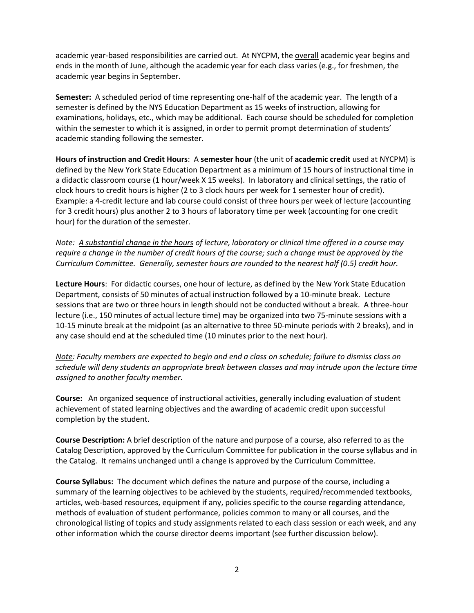academic year-based responsibilities are carried out. At NYCPM, the overall academic year begins and ends in the month of June, although the academic year for each class varies (e.g., for freshmen, the academic year begins in September.

**Semester:** A scheduled period of time representing one-half of the academic year. The length of a semester is defined by the NYS Education Department as 15 weeks of instruction, allowing for examinations, holidays, etc., which may be additional. Each course should be scheduled for completion within the semester to which it is assigned, in order to permit prompt determination of students' academic standing following the semester.

**Hours of instruction and Credit Hours**: A **semester hour** (the unit of **academic credit** used at NYCPM) is defined by the New York State Education Department as a minimum of 15 hours of instructional time in a didactic classroom course (1 hour/week X 15 weeks). In laboratory and clinical settings, the ratio of clock hours to credit hours is higher (2 to 3 clock hours per week for 1 semester hour of credit). Example: a 4-credit lecture and lab course could consist of three hours per week of lecture (accounting for 3 credit hours) plus another 2 to 3 hours of laboratory time per week (accounting for one credit hour) for the duration of the semester.

*Note: A substantial change in the hours of lecture, laboratory or clinical time offered in a course may require a change in the number of credit hours of the course; such a change must be approved by the Curriculum Committee. Generally, semester hours are rounded to the nearest half (0.5) credit hour.*

**Lecture Hours**: For didactic courses, one hour of lecture, as defined by the New York State Education Department, consists of 50 minutes of actual instruction followed by a 10-minute break. Lecture sessions that are two or three hours in length should not be conducted without a break. A three-hour lecture (i.e., 150 minutes of actual lecture time) may be organized into two 75-minute sessions with a 10-15 minute break at the midpoint (as an alternative to three 50-minute periods with 2 breaks), and in any case should end at the scheduled time (10 minutes prior to the next hour).

*Note: Faculty members are expected to begin and end a class on schedule; failure to dismiss class on schedule will deny students an appropriate break between classes and may intrude upon the lecture time assigned to another faculty member.*

**Course:** An organized sequence of instructional activities, generally including evaluation of student achievement of stated learning objectives and the awarding of academic credit upon successful completion by the student.

**Course Description:** A brief description of the nature and purpose of a course, also referred to as the Catalog Description, approved by the Curriculum Committee for publication in the course syllabus and in the Catalog. It remains unchanged until a change is approved by the Curriculum Committee.

**Course Syllabus:** The document which defines the nature and purpose of the course, including a summary of the learning objectives to be achieved by the students, required/recommended textbooks, articles, web-based resources, equipment if any, policies specific to the course regarding attendance, methods of evaluation of student performance, policies common to many or all courses, and the chronological listing of topics and study assignments related to each class session or each week, and any other information which the course director deems important (see further discussion below).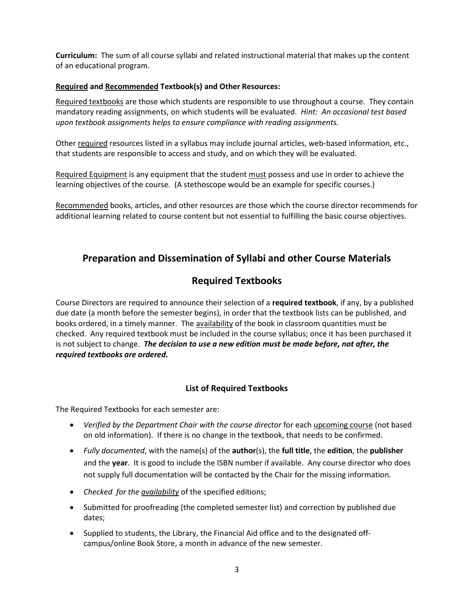**Curriculum:** The sum of all course syllabi and related instructional material that makes up the content of an educational program.

### **Required and Recommended Textbook(s) and Other Resources:**

Required textbooks are those which students are responsible to use throughout a course. They contain mandatory reading assignments, on which students will be evaluated. *Hint: An occasional test based upon textbook assignments helps to ensure compliance with reading assignments.* 

Other required resources listed in a syllabus may include journal articles, web-based information, etc., that students are responsible to access and study, and on which they will be evaluated.

Required Equipment is any equipment that the student must possess and use in order to achieve the learning objectives of the course. (A stethoscope would be an example for specific courses.)

Recommended books, articles, and other resources are those which the course director recommends for additional learning related to course content but not essential to fulfilling the basic course objectives.

## **Preparation and Dissemination of Syllabi and other Course Materials**

## **Required Textbooks**

Course Directors are required to announce their selection of a **required textbook**, if any, by a published due date (a month before the semester begins), in order that the textbook lists can be published, and books ordered, in a timely manner. The availability of the book in classroom quantities must be checked. Any required textbook must be included in the course syllabus; once it has been purchased it is not subject to change. *The decision to use a new edition must be made before, not after, the required textbooks are ordered.*

### **List of Required Textbooks**

<span id="page-2-0"></span>The Required Textbooks for each semester are:

- *Verified by the Department Chair with the course director* for each upcoming course (not based on old information). If there is no change in the textbook, that needs to be confirmed.
- *Fully documented*, with the name(s) of the **author**(s), the **full title**, the **edition**, the **publisher** and the **year**. It is good to include the ISBN number if available. Any course director who does not supply full documentation will be contacted by the Chair for the missing information.
- *Checked for the availability* of the specified editions;
- Submitted for proofreading (the completed semester list) and correction by published due dates;
- Supplied to students, the Library, the Financial Aid office and to the designated offcampus/online Book Store, a month in advance of the new semester.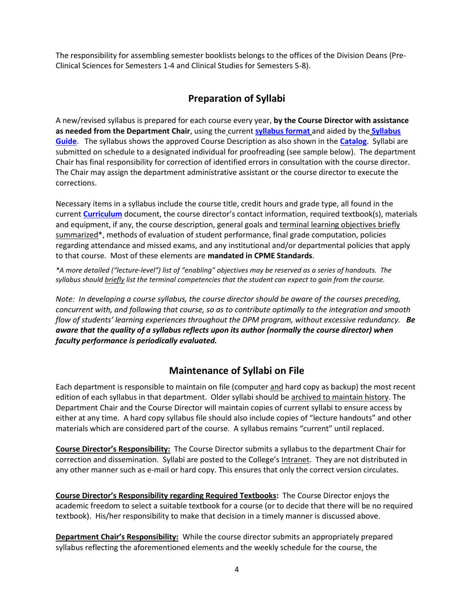The responsibility for assembling semester booklists belongs to the offices of the Division Deans (Pre-Clinical Sciences for Semesters 1-4 and Clinical Studies for Semesters 5-8).

## <span id="page-3-0"></span>**Preparation of Syllabi**

A new/revised syllabus is prepared for each course every year, **by the Course Director with assistance as needed from the Department Chair**, using the current **syllabus format** and aided by the **Syllabus Guide**.The syllabus shows the approved Course Description as also shown in the **Catalog**. Syllabi are submitted on schedule to a designated individual for proofreading (see sample below). The department Chair has final responsibility for correction of identified errors in consultation with the course director. The Chair may assign the department administrative assistant or the course director to execute the corrections.

Necessary items in a syllabus include the course title, credit hours and grade type, all found in the current **Curriculum** document, the course director's contact information, required textbook(s), materials and equipment, if any, the course description, general goals and terminal learning objectives briefly summarized\*, methods of evaluation of student performance, final grade computation, policies regarding attendance and missed exams, and any institutional and/or departmental policies that apply to that course. Most of these elements are **mandated in CPME Standards**.

*\*A more detailed ("lecture-level") list of "enabling" objectives may be reserved as a series of handouts. The syllabus should briefly list the terminal competencies that the student can expect to gain from the course.*

*Note: In developing a course syllabus, the course director should be aware of the courses preceding, concurrent with, and following that course, so as to contribute optimally to the integration and smooth flow of students' learning experiences throughout the DPM program, without excessive redundancy. Be aware that the quality of a syllabus reflects upon its author (normally the course director) when faculty performance is periodically evaluated.*

## **Maintenance of Syllabi on File**

Each department is responsible to maintain on file (computer and hard copy as backup) the most recent edition of each syllabus in that department. Older syllabi should be archived to maintain history. The Department Chair and the Course Director will maintain copies of current syllabi to ensure access by either at any time. A hard copy syllabus file should also include copies of "lecture handouts" and other materials which are considered part of the course. A syllabus remains "current" until replaced.

**Course Director's Responsibility:** The Course Director submits a syllabus to the department Chair for correction and dissemination. Syllabi are posted to the College's Intranet. They are not distributed in any other manner such as e-mail or hard copy. This ensures that only the correct version circulates.

**Course Director's Responsibility regarding Required Textbooks:** The Course Director enjoys the academic freedom to select a suitable textbook for a course (or to decide that there will be no required textbook). His/her responsibility to make that decision in a timely manner is discussed above.

**Department Chair's Responsibility:** While the course director submits an appropriately prepared syllabus reflecting the aforementioned elements and the weekly schedule for the course, the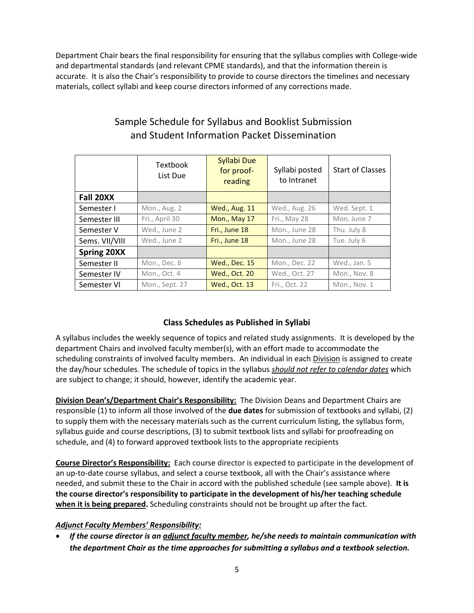Department Chair bears the final responsibility for ensuring that the syllabus complies with College-wide and departmental standards (and relevant CPME standards), and that the information therein is accurate. It is also the Chair's responsibility to provide to course directors the timelines and necessary materials, collect syllabi and keep course directors informed of any corrections made.

|                    | <b>Textbook</b><br>List Due | Syllabi Due<br>for proof-<br>reading | Syllabi posted<br>to Intranet | <b>Start of Classes</b> |
|--------------------|-----------------------------|--------------------------------------|-------------------------------|-------------------------|
| Fall 20XX          |                             |                                      |                               |                         |
| Semester I         | Mon., Aug. 2                | <b>Wed., Aug. 11</b>                 | Wed., Aug. 26                 | Wed. Sept. 1            |
| Semester III       | Fri., April 30              | Mon., May 17                         | Fri., May 28                  | Mon. June 7             |
| Semester V         | Wed., June 2                | Fri., June 18                        | Mon., June 28                 | Thu. July 8             |
| Sems. VII/VIII     | Wed., June 2                | Fri., June 18                        | Mon., June 28                 | Tue. July 6             |
| <b>Spring 20XX</b> |                             |                                      |                               |                         |
| Semester II        | Mon., Dec. 6                | Wed., Dec. 15                        | Mon., Dec. 22                 | Wed., Jan. 5            |
| Semester IV        | Mon., Oct. 4                | <b>Wed., Oct. 20</b>                 | Wed., Oct. 27                 | Mon., Nov. 8            |
| Semester VI        | Mon., Sept. 27              | Wed., Oct. 13                        | Fri., Oct. 22                 | Mon., Nov. 1            |

## Sample Schedule for Syllabus and Booklist Submission and Student Information Packet Dissemination

## <span id="page-4-0"></span>**Class Schedules as Published in Syllabi**

A syllabus includes the weekly sequence of topics and related study assignments. It is developed by the department Chairs and involved faculty member(s), with an effort made to accommodate the scheduling constraints of involved faculty members. An individual in each Division is assigned to create the day/hour schedules. The schedule of topics in the syllabus *should not refer to calendar dates* which are subject to change; it should, however, identify the academic year.

**Division Dean's/Department Chair's Responsibility:** The Division Deans and Department Chairs are responsible (1) to inform all those involved of the **due dates** for submission of textbooks and syllabi, (2) to supply them with the necessary materials such as the current curriculum listing, the syllabus form, syllabus guide and course descriptions, (3) to submit textbook lists and syllabi for proofreading on schedule, and (4) to forward approved textbook lists to the appropriate recipients

**Course Director's Responsibility:** Each course director is expected to participate in the development of an up-to-date course syllabus, and select a course textbook, all with the Chair's assistance where needed, and submit these to the Chair in accord with the published schedule (see sample above). **It is the course director's responsibility to participate in the development of his/her teaching schedule when it is being prepared.** Scheduling constraints should not be brought up after the fact.

### *Adjunct Faculty Members' Responsibility:*

 *If the course director is an adjunct faculty member, he/she needs to maintain communication with the department Chair as the time approaches for submitting a syllabus and a textbook selection.*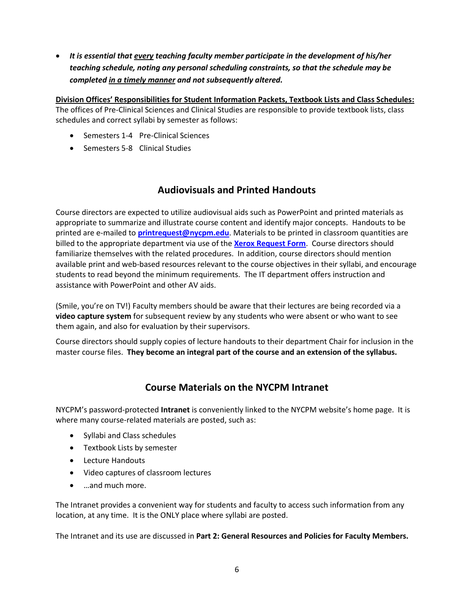*It is essential that every teaching faculty member participate in the development of his/her teaching schedule, noting any personal scheduling constraints, so that the schedule may be completed in a timely manner and not subsequently altered.*

**Division Offices' Responsibilities for Student Information Packets, Textbook Lists and Class Schedules:** The offices of Pre-Clinical Sciences and Clinical Studies are responsible to provide textbook lists, class schedules and correct syllabi by semester as follows:

- Semesters 1-4 Pre-Clinical Sciences
- Semesters 5-8 Clinical Studies

## **Audiovisuals and Printed Handouts**

<span id="page-5-0"></span>Course directors are expected to utilize audiovisual aids such as PowerPoint and printed materials as appropriate to summarize and illustrate course content and identify major concepts. Handouts to be printed are e-mailed to **[printrequest@nycpm.edu](mailto:printrequest@nycpm.edu)**. Materials to be printed in classroom quantities are billed to the appropriate department via use of the **[Xerox Request Form](XEROX%20REQUEST%20FORM.pdf)**. Course directors should familiarize themselves with the related procedures. In addition, course directors should mention available print and web-based resources relevant to the course objectives in their syllabi, and encourage students to read beyond the minimum requirements. The IT department offers instruction and assistance with PowerPoint and other AV aids.

(Smile, you're on TV!) Faculty members should be aware that their lectures are being recorded via a **video capture system** for subsequent review by any students who were absent or who want to see them again, and also for evaluation by their supervisors.

Course directors should supply copies of lecture handouts to their department Chair for inclusion in the master course files. **They become an integral part of the course and an extension of the syllabus.**

## <span id="page-5-1"></span>**Course Materials on the NYCPM Intranet**

NYCPM's password-protected **Intranet** is conveniently linked to the NYCPM website's home page. It is where many course-related materials are posted, such as:

- Syllabi and Class schedules
- **•** Textbook Lists by semester
- Lecture Handouts
- Video captures of classroom lectures
- …and much more.

The Intranet provides a convenient way for students and faculty to access such information from any location, at any time. It is the ONLY place where syllabi are posted.

The Intranet and its use are discussed in **Part 2: General Resources and Policies for Faculty Members.**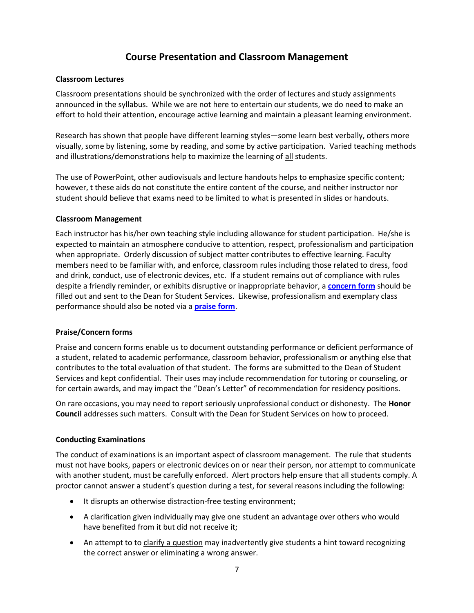## <span id="page-6-0"></span>**Course Presentation and Classroom Management**

### **Classroom Lectures**

Classroom presentations should be synchronized with the order of lectures and study assignments announced in the syllabus. While we are not here to entertain our students, we do need to make an effort to hold their attention, encourage active learning and maintain a pleasant learning environment.

Research has shown that people have different learning styles—some learn best verbally, others more visually, some by listening, some by reading, and some by active participation. Varied teaching methods and illustrations/demonstrations help to maximize the learning of all students.

The use of PowerPoint, other audiovisuals and lecture handouts helps to emphasize specific content; however, t these aids do not constitute the entire content of the course, and neither instructor nor student should believe that exams need to be limited to what is presented in slides or handouts.

### **Classroom Management**

Each instructor has his/her own teaching style including allowance for student participation. He/she is expected to maintain an atmosphere conducive to attention, respect, professionalism and participation when appropriate. Orderly discussion of subject matter contributes to effective learning. Faculty members need to be familiar with, and enforce, classroom rules including those related to dress, food and drink, conduct, use of electronic devices, etc. If a student remains out of compliance with rules despite a friendly reminder, or exhibits disruptive or inappropriate behavior, a **[concern form](http://www.nycpm.edu/studentsFaculty/Praise-Concern-Form.pdf)** should be filled out and sent to the Dean for Student Services. Likewise, professionalism and exemplary class performance should also be noted via a **[praise form](http://www.nycpm.edu/studentsFaculty/Praise-Concern-Form.pdf)**.

### **Praise/Concern forms**

Praise and concern forms enable us to document outstanding performance or deficient performance of a student, related to academic performance, classroom behavior, professionalism or anything else that contributes to the total evaluation of that student. The forms are submitted to the Dean of Student Services and kept confidential. Their uses may include recommendation for tutoring or counseling, or for certain awards, and may impact the "Dean's Letter" of recommendation for residency positions.

On rare occasions, you may need to report seriously unprofessional conduct or dishonesty. The **Honor Council** addresses such matters. Consult with the Dean for Student Services on how to proceed.

### **Conducting Examinations**

The conduct of examinations is an important aspect of classroom management. The rule that students must not have books, papers or electronic devices on or near their person, nor attempt to communicate with another student, must be carefully enforced. Alert proctors help ensure that all students comply. A proctor cannot answer a student's question during a test, for several reasons including the following:

- It disrupts an otherwise distraction-free testing environment;
- A clarification given individually may give one student an advantage over others who would have benefited from it but did not receive it;
- An attempt to to clarify a question may inadvertently give students a hint toward recognizing the correct answer or eliminating a wrong answer.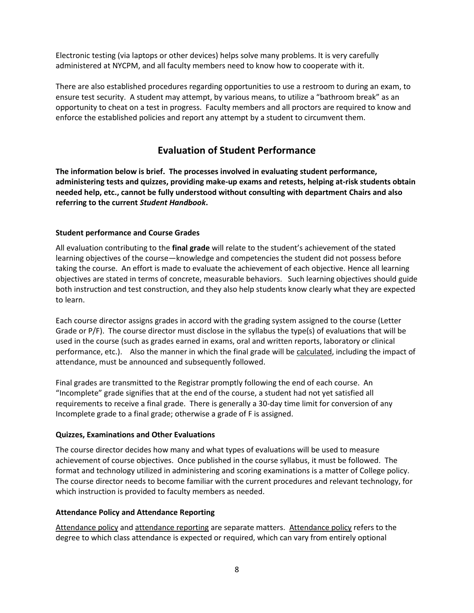Electronic testing (via laptops or other devices) helps solve many problems. It is very carefully administered at NYCPM, and all faculty members need to know how to cooperate with it.

There are also established procedures regarding opportunities to use a restroom to during an exam, to ensure test security. A student may attempt, by various means, to utilize a "bathroom break" as an opportunity to cheat on a test in progress. Faculty members and all proctors are required to know and enforce the established policies and report any attempt by a student to circumvent them.

## **Evaluation of Student Performance**

<span id="page-7-0"></span>**The information below is brief. The processes involved in evaluating student performance, administering tests and quizzes, providing make-up exams and retests, helping at-risk students obtain needed help, etc., cannot be fully understood without consulting with department Chairs and also referring to the current** *Student Handbook***.**

### **Student performance and Course Grades**

All evaluation contributing to the **final grade** will relate to the student's achievement of the stated learning objectives of the course—knowledge and competencies the student did not possess before taking the course. An effort is made to evaluate the achievement of each objective. Hence all learning objectives are stated in terms of concrete, measurable behaviors. Such learning objectives should guide both instruction and test construction, and they also help students know clearly what they are expected to learn.

Each course director assigns grades in accord with the grading system assigned to the course (Letter Grade or P/F). The course director must disclose in the syllabus the type(s) of evaluations that will be used in the course (such as grades earned in exams, oral and written reports, laboratory or clinical performance, etc.). Also the manner in which the final grade will be calculated, including the impact of attendance, must be announced and subsequently followed.

Final grades are transmitted to the Registrar promptly following the end of each course. An "Incomplete" grade signifies that at the end of the course, a student had not yet satisfied all requirements to receive a final grade. There is generally a 30-day time limit for conversion of any Incomplete grade to a final grade; otherwise a grade of F is assigned.

### **Quizzes, Examinations and Other Evaluations**

The course director decides how many and what types of evaluations will be used to measure achievement of course objectives. Once published in the course syllabus, it must be followed. The format and technology utilized in administering and scoring examinations is a matter of College policy. The course director needs to become familiar with the current procedures and relevant technology, for which instruction is provided to faculty members as needed.

### **Attendance Policy and Attendance Reporting**

Attendance policy and attendance reporting are separate matters. Attendance policy refers to the degree to which class attendance is expected or required, which can vary from entirely optional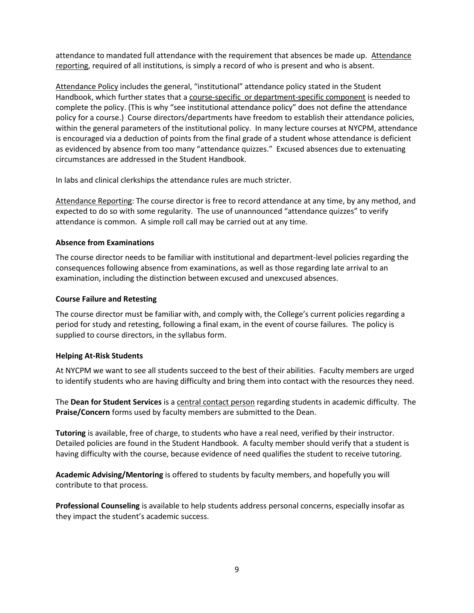attendance to mandated full attendance with the requirement that absences be made up. Attendance reporting, required of all institutions, is simply a record of who is present and who is absent.

Attendance Policy includes the general, "institutional" attendance policy stated in the Student Handbook, which further states that a course-specific or department-specific component is needed to complete the policy. (This is why "see institutional attendance policy" does not define the attendance policy for a course.) Course directors/departments have freedom to establish their attendance policies, within the general parameters of the institutional policy. In many lecture courses at NYCPM, attendance is encouraged via a deduction of points from the final grade of a student whose attendance is deficient as evidenced by absence from too many "attendance quizzes." Excused absences due to extenuating circumstances are addressed in the Student Handbook.

In labs and clinical clerkships the attendance rules are much stricter.

Attendance Reporting: The course director is free to record attendance at any time, by any method, and expected to do so with some regularity. The use of unannounced "attendance quizzes" to verify attendance is common. A simple roll call may be carried out at any time.

### **Absence from Examinations**

The course director needs to be familiar with institutional and department-level policies regarding the consequences following absence from examinations, as well as those regarding late arrival to an examination, including the distinction between excused and unexcused absences.

### **Course Failure and Retesting**

The course director must be familiar with, and comply with, the College's current policies regarding a period for study and retesting, following a final exam, in the event of course failures. The policy is supplied to course directors, in the syllabus form.

### **Helping At-Risk Students**

At NYCPM we want to see all students succeed to the best of their abilities. Faculty members are urged to identify students who are having difficulty and bring them into contact with the resources they need.

The **Dean for Student Services** is a central contact person regarding students in academic difficulty. The **Praise/Concern** forms used by faculty members are submitted to the Dean.

**Tutoring** is available, free of charge, to students who have a real need, verified by their instructor. Detailed policies are found in the Student Handbook. A faculty member should verify that a student is having difficulty with the course, because evidence of need qualifies the student to receive tutoring.

**Academic Advising/Mentoring** is offered to students by faculty members, and hopefully you will contribute to that process.

**Professional Counseling** is available to help students address personal concerns, especially insofar as they impact the student's academic success.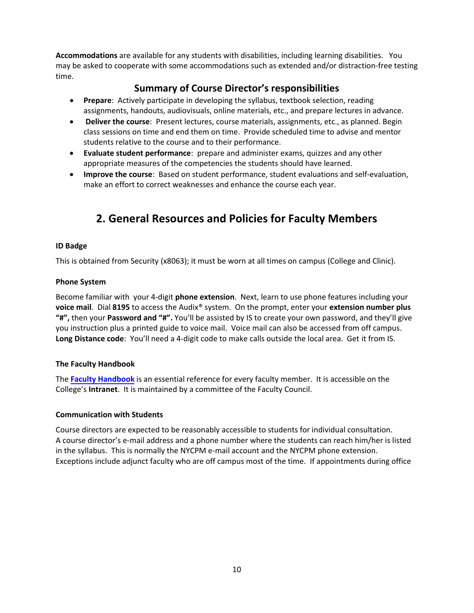**Accommodations** are available for any students with disabilities, including learning disabilities. You may be asked to cooperate with some accommodations such as extended and/or distraction-free testing time.

## **Summary of Course Director's responsibilities**

- **Prepare**: Actively participate in developing the syllabus, textbook selection, reading assignments, handouts, audiovisuals, online materials, etc., and prepare lectures in advance.
- **Deliver the course**: Present lectures, course materials, assignments, etc., as planned. Begin class sessions on time and end them on time. Provide scheduled time to advise and mentor students relative to the course and to their performance.
- **Evaluate student performance**: prepare and administer exams, quizzes and any other appropriate measures of the competencies the students should have learned.
- **Improve the course**: Based on student performance, student evaluations and self-evaluation, make an effort to correct weaknesses and enhance the course each year.

## <span id="page-9-0"></span>**2. General Resources and Policies for Faculty Members**

### **ID Badge**

This is obtained from Security (x8063); it must be worn at all times on campus (College and Clinic).

### **Phone System**

Become familiar with your 4-digit **phone extension**. Next, learn to use phone features including your **voice mail**. Dial **8195** to access the Audix® system. On the prompt, enter your **extension number plus "#",** then your **Password and "#".** You'll be assisted by IS to create your own password, and they'll give you instruction plus a printed guide to voice mail. Voice mail can also be accessed from off campus. **Long Distance code**: You'll need a 4-digit code to make calls outside the local area. Get it from IS.

### **The Faculty Handbook**

The **Faculty Handbook** is an essential reference for every faculty member. It is accessible on the College's **Intranet**. It is maintained by a committee of the Faculty Council.

### **Communication with Students**

Course directors are expected to be reasonably accessible to students for individual consultation. A course director's e-mail address and a phone number where the students can reach him/her is listed in the syllabus. This is normally the NYCPM e-mail account and the NYCPM phone extension. Exceptions include adjunct faculty who are off campus most of the time. If appointments during office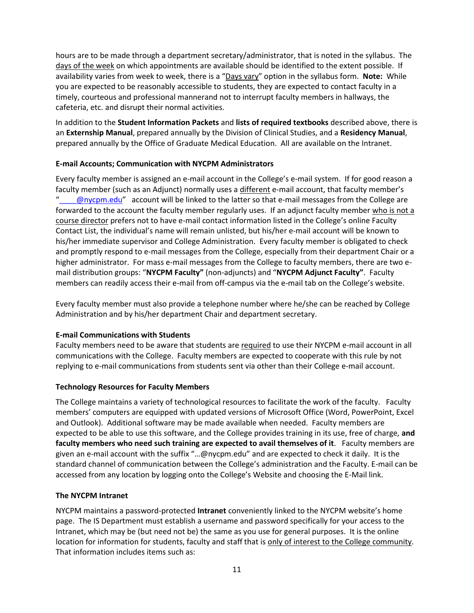hours are to be made through a department secretary/administrator, that is noted in the syllabus. The days of the week on which appointments are available should be identified to the extent possible. If availability varies from week to week, there is a "Days vary" option in the syllabus form. **Note:** While you are expected to be reasonably accessible to students, they are expected to contact faculty in a timely, courteous and professional mannerand not to interrupt faculty members in hallways, the cafeteria, etc. and disrupt their normal activities.

In addition to the **Student Information Packets** and **lists of required textbooks** described above, there is an **Externship Manual**, prepared annually by the Division of Clinical Studies, and a **Residency Manual**, prepared annually by the Office of Graduate Medical Education. All are available on the Intranet.

### **E-mail Accounts; Communication with NYCPM Administrators**

Every faculty member is assigned an e-mail account in the College's e-mail system. If for good reason a faculty member (such as an Adjunct) normally uses a different e-mail account, that faculty member's @nycpm.edu" account will be linked to the latter so that e-mail messages from the College are forwarded to the account the faculty member regularly uses. If an adjunct faculty member who is not a course director prefers not to have e-mail contact information listed in the College's online Faculty Contact List, the individual's name will remain unlisted, but his/her e-mail account will be known to his/her immediate supervisor and College Administration. Every faculty member is obligated to check and promptly respond to e-mail messages from the College, especially from their department Chair or a higher administrator. For mass e-mail messages from the College to faculty members, there are two email distribution groups: "**NYCPM Faculty"** (non-adjuncts) and "**NYCPM Adjunct Faculty"**. Faculty members can readily access their e-mail from off-campus via the e-mail tab on the College's website.

Every faculty member must also provide a telephone number where he/she can be reached by College Administration and by his/her department Chair and department secretary.

### **E-mail Communications with Students**

Faculty members need to be aware that students are required to use their NYCPM e-mail account in all communications with the College. Faculty members are expected to cooperate with this rule by not replying to e-mail communications from students sent via other than their College e-mail account.

### **Technology Resources for Faculty Members**

The College maintains a variety of technological resources to facilitate the work of the faculty. Faculty members' computers are equipped with updated versions of Microsoft Office (Word, PowerPoint, Excel and Outlook). Additional software may be made available when needed. Faculty members are expected to be able to use this software, and the College provides training in its use, free of charge, **and faculty members who need such training are expected to avail themselves of it**. Faculty members are given an e-mail account with the suffix "…@nycpm.edu" and are expected to check it daily. It is the standard channel of communication between the College's administration and the Faculty. E-mail can be accessed from any location by logging onto the College's Website and choosing the E-Mail link.

### **The NYCPM Intranet**

NYCPM maintains a password-protected **Intranet** conveniently linked to the NYCPM website's home page. The IS Department must establish a username and password specifically for your access to the Intranet, which may be (but need not be) the same as you use for general purposes. It is the online location for information for students, faculty and staff that is only of interest to the College community. That information includes items such as: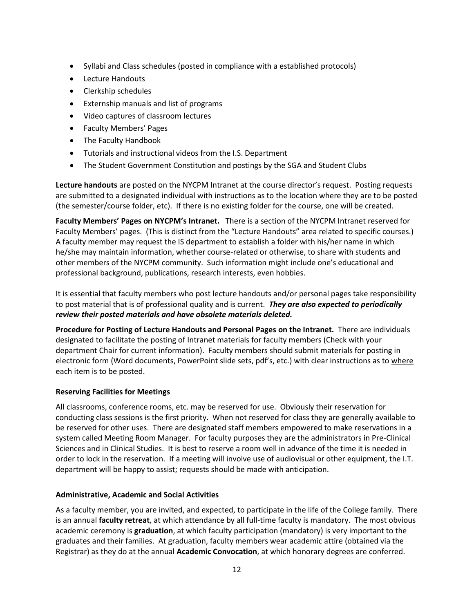- Syllabi and Class schedules (posted in compliance with a established protocols)
- Lecture Handouts
- Clerkship schedules
- Externship manuals and list of programs
- Video captures of classroom lectures
- Faculty Members' Pages
- The Faculty Handbook
- Tutorials and instructional videos from the I.S. Department
- The Student Government Constitution and postings by the SGA and Student Clubs

**Lecture handouts** are posted on the NYCPM Intranet at the course director's request. Posting requests are submitted to a designated individual with instructions as to the location where they are to be posted (the semester/course folder, etc). If there is no existing folder for the course, one will be created.

**Faculty Members' Pages on NYCPM's Intranet.** There is a section of the NYCPM Intranet reserved for Faculty Members' pages. (This is distinct from the "Lecture Handouts" area related to specific courses.) A faculty member may request the IS department to establish a folder with his/her name in which he/she may maintain information, whether course-related or otherwise, to share with students and other members of the NYCPM community. Such information might include one's educational and professional background, publications, research interests, even hobbies.

It is essential that faculty members who post lecture handouts and/or personal pages take responsibility to post material that is of professional quality and is current. *They are also expected to periodically review their posted materials and have obsolete materials deleted.*

**Procedure for Posting of Lecture Handouts and Personal Pages on the Intranet.** There are individuals designated to facilitate the posting of Intranet materials for faculty members (Check with your department Chair for current information). Faculty members should submit materials for posting in electronic form (Word documents, PowerPoint slide sets, pdf's, etc.) with clear instructions as to where each item is to be posted.

### **Reserving Facilities for Meetings**

All classrooms, conference rooms, etc. may be reserved for use. Obviously their reservation for conducting class sessions is the first priority. When not reserved for class they are generally available to be reserved for other uses. There are designated staff members empowered to make reservations in a system called Meeting Room Manager. For faculty purposes they are the administrators in Pre-Clinical Sciences and in Clinical Studies. It is best to reserve a room well in advance of the time it is needed in order to lock in the reservation. If a meeting will involve use of audiovisual or other equipment, the I.T. department will be happy to assist; requests should be made with anticipation.

### **Administrative, Academic and Social Activities**

As a faculty member, you are invited, and expected, to participate in the life of the College family. There is an annual **faculty retreat**, at which attendance by all full-time faculty is mandatory. The most obvious academic ceremony is **graduation**, at which faculty participation (mandatory) is very important to the graduates and their families. At graduation, faculty members wear academic attire (obtained via the Registrar) as they do at the annual **Academic Convocation**, at which honorary degrees are conferred.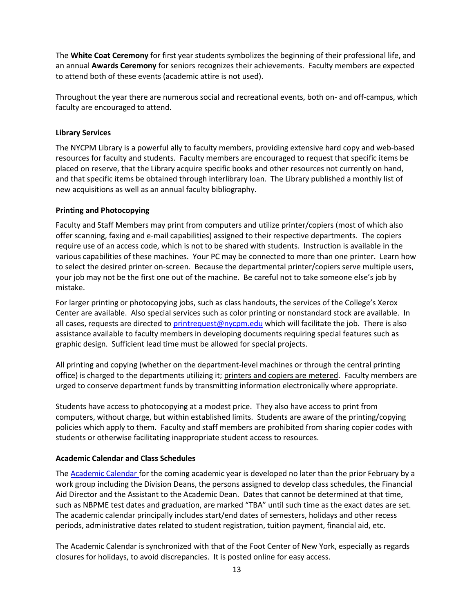The **White Coat Ceremony** for first year students symbolizes the beginning of their professional life, and an annual **Awards Ceremony** for seniors recognizes their achievements. Faculty members are expected to attend both of these events (academic attire is not used).

Throughout the year there are numerous social and recreational events, both on- and off-campus, which faculty are encouraged to attend.

### **Library Services**

The NYCPM Library is a powerful ally to faculty members, providing extensive hard copy and web-based resources for faculty and students. Faculty members are encouraged to request that specific items be placed on reserve, that the Library acquire specific books and other resources not currently on hand, and that specific items be obtained through interlibrary loan. The Library published a monthly list of new acquisitions as well as an annual faculty bibliography.

### **Printing and Photocopying**

Faculty and Staff Members may print from computers and utilize printer/copiers (most of which also offer scanning, faxing and e-mail capabilities) assigned to their respective departments. The copiers require use of an access code, which is not to be shared with students. Instruction is available in the various capabilities of these machines. Your PC may be connected to more than one printer. Learn how to select the desired printer on-screen. Because the departmental printer/copiers serve multiple users, your job may not be the first one out of the machine. Be careful not to take someone else's job by mistake.

For larger printing or photocopying jobs, such as class handouts, the services of the College's Xerox Center are available. Also special services such as color printing or nonstandard stock are available. In all cases, requests are directed to [printrequest@nycpm.edu](mailto:printrequest@nycpm.edu) which will facilitate the job. There is also assistance available to faculty members in developing documents requiring special features such as graphic design. Sufficient lead time must be allowed for special projects.

All printing and copying (whether on the department-level machines or through the central printing office) is charged to the departments utilizing it; printers and copiers are metered. Faculty members are urged to conserve department funds by transmitting information electronically where appropriate.

Students have access to photocopying at a modest price. They also have access to print from computers, without charge, but within established limits. Students are aware of the printing/copying policies which apply to them. Faculty and staff members are prohibited from sharing copier codes with students or otherwise facilitating inappropriate student access to resources.

### **Academic Calendar and Class Schedules**

The Academic Calendar for the coming academic year is developed no later than the prior February by a work group including the Division Deans, the persons assigned to develop class schedules, the Financial Aid Director and the Assistant to the Academic Dean. Dates that cannot be determined at that time, such as NBPME test dates and graduation, are marked "TBA" until such time as the exact dates are set. The academic calendar principally includes start/end dates of semesters, holidays and other recess periods, administrative dates related to student registration, tuition payment, financial aid, etc.

The Academic Calendar is synchronized with that of the Foot Center of New York, especially as regards closures for holidays, to avoid discrepancies. It is posted online for easy access.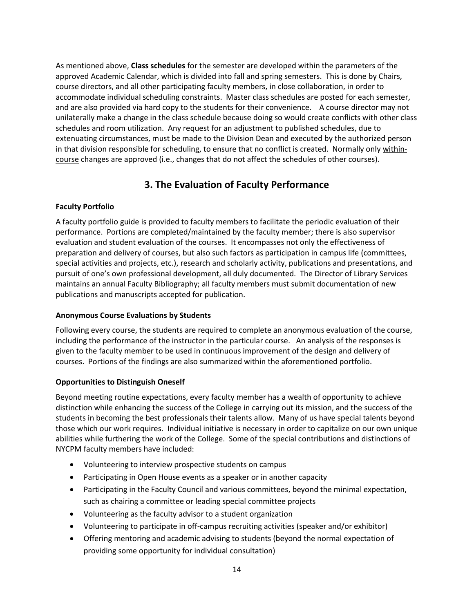As mentioned above, **Class schedules** for the semester are developed within the parameters of the approved Academic Calendar, which is divided into fall and spring semesters. This is done by Chairs, course directors, and all other participating faculty members, in close collaboration, in order to accommodate individual scheduling constraints. Master class schedules are posted for each semester, and are also provided via hard copy to the students for their convenience. A course director may not unilaterally make a change in the class schedule because doing so would create conflicts with other class schedules and room utilization. Any request for an adjustment to published schedules, due to extenuating circumstances, must be made to the Division Dean and executed by the authorized person in that division responsible for scheduling, to ensure that no conflict is created. Normally only withincourse changes are approved (i.e., changes that do not affect the schedules of other courses).

## <span id="page-13-0"></span>**3. The Evaluation of Faculty Performance**

### **Faculty Portfolio**

A faculty portfolio guide is provided to faculty members to facilitate the periodic evaluation of their performance. Portions are completed/maintained by the faculty member; there is also supervisor evaluation and student evaluation of the courses. It encompasses not only the effectiveness of preparation and delivery of courses, but also such factors as participation in campus life (committees, special activities and projects, etc.), research and scholarly activity, publications and presentations, and pursuit of one's own professional development, all duly documented. The Director of Library Services maintains an annual Faculty Bibliography; all faculty members must submit documentation of new publications and manuscripts accepted for publication.

### **Anonymous Course Evaluations by Students**

Following every course, the students are required to complete an anonymous evaluation of the course, including the performance of the instructor in the particular course. An analysis of the responses is given to the faculty member to be used in continuous improvement of the design and delivery of courses. Portions of the findings are also summarized within the aforementioned portfolio.

### **Opportunities to Distinguish Oneself**

Beyond meeting routine expectations, every faculty member has a wealth of opportunity to achieve distinction while enhancing the success of the College in carrying out its mission, and the success of the students in becoming the best professionals their talents allow. Many of us have special talents beyond those which our work requires. Individual initiative is necessary in order to capitalize on our own unique abilities while furthering the work of the College. Some of the special contributions and distinctions of NYCPM faculty members have included:

- Volunteering to interview prospective students on campus
- Participating in Open House events as a speaker or in another capacity
- Participating in the Faculty Council and various committees, beyond the minimal expectation, such as chairing a committee or leading special committee projects
- Volunteering as the faculty advisor to a student organization
- Volunteering to participate in off-campus recruiting activities (speaker and/or exhibitor)
- Offering mentoring and academic advising to students (beyond the normal expectation of providing some opportunity for individual consultation)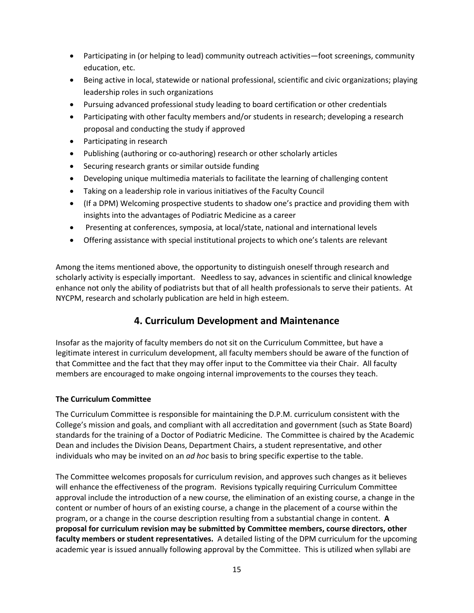- Participating in (or helping to lead) community outreach activities—foot screenings, community education, etc.
- Being active in local, statewide or national professional, scientific and civic organizations; playing leadership roles in such organizations
- Pursuing advanced professional study leading to board certification or other credentials
- Participating with other faculty members and/or students in research; developing a research proposal and conducting the study if approved
- Participating in research
- Publishing (authoring or co-authoring) research or other scholarly articles
- Securing research grants or similar outside funding
- Developing unique multimedia materials to facilitate the learning of challenging content
- Taking on a leadership role in various initiatives of the Faculty Council
- (If a DPM) Welcoming prospective students to shadow one's practice and providing them with insights into the advantages of Podiatric Medicine as a career
- Presenting at conferences, symposia, at local/state, national and international levels
- Offering assistance with special institutional projects to which one's talents are relevant

Among the items mentioned above, the opportunity to distinguish oneself through research and scholarly activity is especially important. Needless to say, advances in scientific and clinical knowledge enhance not only the ability of podiatrists but that of all health professionals to serve their patients. At NYCPM, research and scholarly publication are held in high esteem.

## <span id="page-14-0"></span>**4. Curriculum Development and Maintenance**

Insofar as the majority of faculty members do not sit on the Curriculum Committee, but have a legitimate interest in curriculum development, all faculty members should be aware of the function of that Committee and the fact that they may offer input to the Committee via their Chair. All faculty members are encouraged to make ongoing internal improvements to the courses they teach.

### **The Curriculum Committee**

The Curriculum Committee is responsible for maintaining the D.P.M. curriculum consistent with the College's mission and goals, and compliant with all accreditation and government (such as State Board) standards for the training of a Doctor of Podiatric Medicine. The Committee is chaired by the Academic Dean and includes the Division Deans, Department Chairs, a student representative, and other individuals who may be invited on an *ad hoc* basis to bring specific expertise to the table.

The Committee welcomes proposals for curriculum revision, and approves such changes as it believes will enhance the effectiveness of the program. Revisions typically requiring Curriculum Committee approval include the introduction of a new course, the elimination of an existing course, a change in the content or number of hours of an existing course, a change in the placement of a course within the program, or a change in the course description resulting from a substantial change in content. **A proposal for curriculum revision may be submitted by Committee members, course directors, other faculty members or student representatives.** A detailed listing of the DPM curriculum for the upcoming academic year is issued annually following approval by the Committee. This is utilized when syllabi are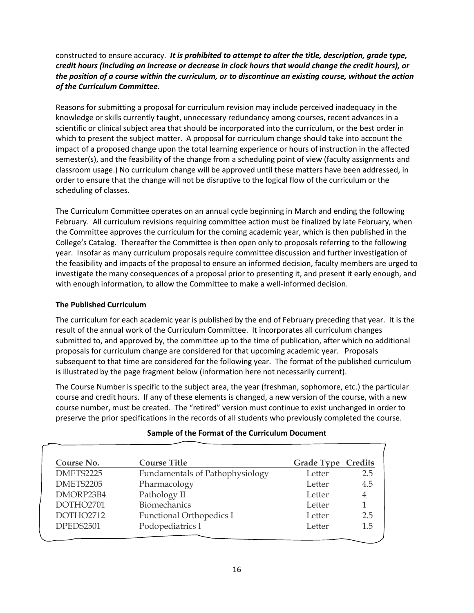### constructed to ensure accuracy. *It is prohibited to attempt to alter the title, description, grade type, credit hours (including an increase or decrease in clock hours that would change the credit hours), or the position of a course within the curriculum, or to discontinue an existing course, without the action of the Curriculum Committee.*

Reasons for submitting a proposal for curriculum revision may include perceived inadequacy in the knowledge or skills currently taught, unnecessary redundancy among courses, recent advances in a scientific or clinical subject area that should be incorporated into the curriculum, or the best order in which to present the subject matter. A proposal for curriculum change should take into account the impact of a proposed change upon the total learning experience or hours of instruction in the affected semester(s), and the feasibility of the change from a scheduling point of view (faculty assignments and classroom usage.) No curriculum change will be approved until these matters have been addressed, in order to ensure that the change will not be disruptive to the logical flow of the curriculum or the scheduling of classes.

The Curriculum Committee operates on an annual cycle beginning in March and ending the following February. All curriculum revisions requiring committee action must be finalized by late February, when the Committee approves the curriculum for the coming academic year, which is then published in the College's Catalog. Thereafter the Committee is then open only to proposals referring to the following year. Insofar as many curriculum proposals require committee discussion and further investigation of the feasibility and impacts of the proposal to ensure an informed decision, faculty members are urged to investigate the many consequences of a proposal prior to presenting it, and present it early enough, and with enough information, to allow the Committee to make a well-informed decision.

### **The Published Curriculum**

The curriculum for each academic year is published by the end of February preceding that year. It is the result of the annual work of the Curriculum Committee. It incorporates all curriculum changes submitted to, and approved by, the committee up to the time of publication, after which no additional proposals for curriculum change are considered for that upcoming academic year. Proposals subsequent to that time are considered for the following year. The format of the published curriculum is illustrated by the page fragment below (information here not necessarily current).

The Course Number is specific to the subject area, the year (freshman, sophomore, etc.) the particular course and credit hours. If any of these elements is changed, a new version of the course, with a new course number, must be created. The "retired" version must continue to exist unchanged in order to preserve the prior specifications in the records of all students who previously completed the course.

| Course No. | <b>Course Title</b>             | <b>Grade Type Credits</b> |                |
|------------|---------------------------------|---------------------------|----------------|
| DMETS2225  | Fundamentals of Pathophysiology | Letter                    | 2.5            |
| DMETS2205  | Pharmacology                    | Letter                    | 4.5            |
| DMORP23B4  | Pathology II                    | Letter                    | $\overline{4}$ |
| DOTHO2701  | <b>Biomechanics</b>             | Letter                    |                |
| DOTHO2712  | Functional Orthopedics I        | Letter                    | 2.5            |
| DPEDS2501  | Podopediatrics I                | Letter                    | 1.5            |
|            |                                 |                           |                |

### **Sample of the Format of the Curriculum Document**